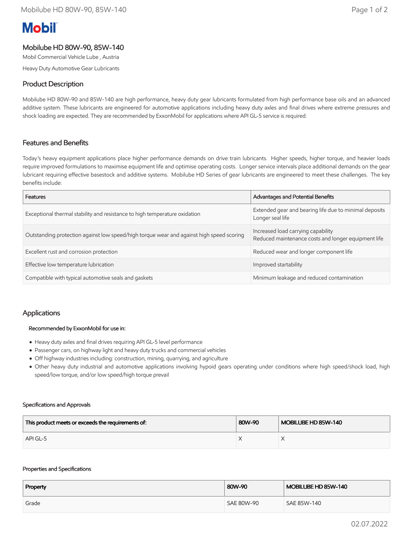# **Mobil**

# Mobilube HD 80W-90, 85W-140

Mobil Commercial Vehicle Lube , Austria

Heavy Duty Automotive Gear Lubricants

## Product Description

Mobilube HD 80W-90 and 85W-140 are high performance, heavy duty gear lubricants formulated from high performance base oils and an advanced additive system. These lubricants are engineered for automotive applications including heavy duty axles and final drives where extreme pressures and shock loading are expected. They are recommended by ExxonMobil for applications where API GL-5 service is required.

## Features and Benefits

Today's heavy equipment applications place higher performance demands on drive train lubricants. Higher speeds, higher torque, and heavier loads require improved formulations to maximise equipment life and optimise operating costs. Longer service intervals place additional demands on the gear lubricant requiring effective basestock and additive systems. Mobilube HD Series of gear lubricants are engineered to meet these challenges. The key benefits include:

| Features                                                                                 | Advantages and Potential Benefits                                                         |  |
|------------------------------------------------------------------------------------------|-------------------------------------------------------------------------------------------|--|
| Exceptional thermal stability and resistance to high temperature oxidation               | Extended gear and bearing life due to minimal deposits<br>Longer seal life                |  |
| Outstanding protection against low speed/high torque wear and against high speed scoring | Increased load carrying capability<br>Reduced maintenance costs and longer equipment life |  |
| Excellent rust and corrosion protection                                                  | Reduced wear and longer component life                                                    |  |
| Effective low temperature lubrication                                                    | Improved startability                                                                     |  |
| Compatible with typical automotive seals and gaskets                                     | Minimum leakage and reduced contamination                                                 |  |

## Applications

#### Recommended by ExxonMobil for use in:

- Heavy duty axles and final drives requiring API GL-5 level performance
- Passenger cars, on highway light and heavy duty trucks and commercial vehicles
- Off highway industries including: construction, mining, quarrying, and agriculture
- Other heavy duty industrial and automotive applications involving hypoid gears operating under conditions where high speed/shock load, high speed/low torque, and/or low speed/high torque prevail

#### Specifications and Approvals

| This product meets or exceeds the requirements of: | 80W-90 | MOBILUBE HD 85W-140 |
|----------------------------------------------------|--------|---------------------|
| API GL-5                                           |        |                     |

#### Properties and Specifications

| Property | 80W-90     | MOBILUBE HD 85W-140 |
|----------|------------|---------------------|
| Grade    | SAE 80W-90 | SAE 85W-140         |